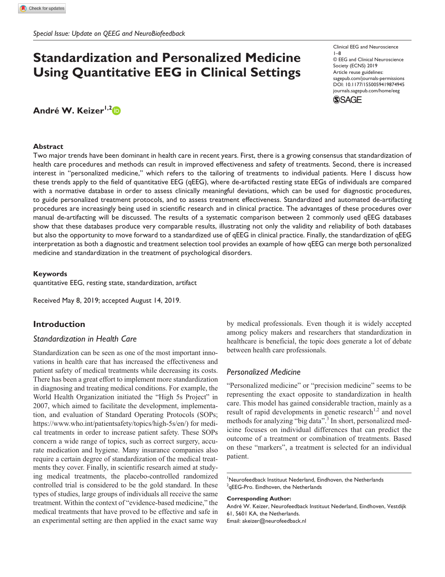# **Standardization and Personalized Medicine Using Quantitative EEG in Clinical Settings**

# André W. Keizer<sup>1,2</sup>D

Clinical EEG and Neuroscience 1–8 © EEG and Clinical Neuroscience Society (ECNS) 2019 Article reuse guidelines: [sagepub.com/journals-permissions](https://us.sagepub.com/en-us/journals-permissions) https://doi.org/10.1177/1550059419874945 DOI: 10.1177/1550059419874945 [journals.sagepub.com/home/eeg](https://journals.sagepub.com/home/eeg) **SSAGE** 

#### **Abstract**

Two major trends have been dominant in health care in recent years. First, there is a growing consensus that standardization of health care procedures and methods can result in improved effectiveness and safety of treatments. Second, there is increased interest in "personalized medicine," which refers to the tailoring of treatments to individual patients. Here I discuss how these trends apply to the field of quantitative EEG (qEEG), where de-artifacted resting state EEGs of individuals are compared with a normative database in order to assess clinically meaningful deviations, which can be used for diagnostic procedures, to guide personalized treatment protocols, and to assess treatment effectiveness. Standardized and automated de-artifacting procedures are increasingly being used in scientific research and in clinical practice. The advantages of these procedures over manual de-artifacting will be discussed. The results of a systematic comparison between 2 commonly used qEEG databases show that these databases produce very comparable results, illustrating not only the validity and reliability of both databases but also the opportunity to move forward to a standardized use of qEEG in clinical practice. Finally, the standardization of qEEG interpretation as both a diagnostic and treatment selection tool provides an example of how qEEG can merge both personalized medicine and standardization in the treatment of psychological disorders.

### **Keywords**

quantitative EEG, resting state, standardization, artifact

Received May 8, 2019; accepted August 14, 2019.

# **Introduction**

### *Standardization in Health Care*

Standardization can be seen as one of the most important innovations in health care that has increased the effectiveness and patient safety of medical treatments while decreasing its costs. There has been a great effort to implement more standardization in diagnosing and treating medical conditions. For example, the World Health Organization initiated the "High 5s Project" in 2007, which aimed to facilitate the development, implementation, and evaluation of Standard Operating Protocols (SOPs; <https://www.who.int/patientsafety/topics/high-5s/en/>) for medical treatments in order to increase patient safety. These SOPs concern a wide range of topics, such as correct surgery, accurate medication and hygiene. Many insurance companies also require a certain degree of standardization of the medical treatments they cover. Finally, in scientific research aimed at studying medical treatments, the placebo-controlled randomized controlled trial is considered to be the gold standard. In these types of studies, large groups of individuals all receive the same treatment. Within the context of "evidence-based medicine," the medical treatments that have proved to be effective and safe in an experimental setting are then applied in the exact same way

by medical professionals. Even though it is widely accepted among policy makers and researchers that standardization in healthcare is beneficial, the topic does generate a lot of debate between health care professionals.

### *Personalized Medicine*

"Personalized medicine" or "precision medicine" seems to be representing the exact opposite to standardization in health care. This model has gained considerable traction, mainly as a result of rapid developments in genetic research<sup>1,2</sup> and novel methods for analyzing "big data".<sup>3</sup> In short, personalized medicine focuses on individual differences that can predict the outcome of a treatment or combination of treatments. Based on these "markers", a treatment is selected for an individual patient.

1 Neurofeedback Instituut Nederland, Eindhoven, the Netherlands <sup>2</sup>qEEG-Pro. Eindhoven, the Netherlands

### **Corresponding Author:**

André W. Keizer, Neurofeedback Instituut Nederland, Eindhoven, Vestdijk 61, 5601 KA, the Netherlands. Email: [akeizer@neurofeedback.nl](mailto:akeizer@neurofeedback.nl)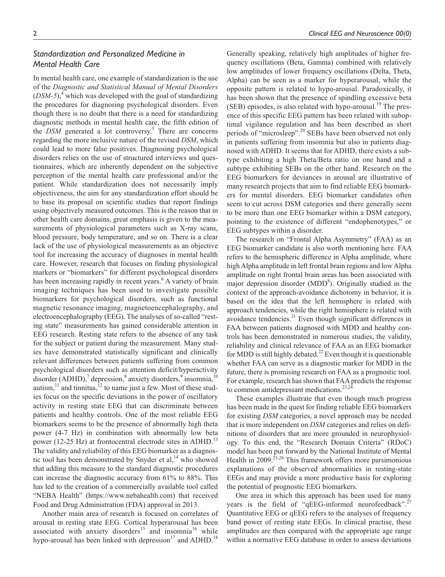# *Standardization and Personalized Medicine in Mental Health Care*

In mental health care, one example of standardization is the use of the *Diagnostic and Statistical Manual of Mental Disorders*  $(DSM-5)$ <sup>4</sup>, which was developed with the goal of standardizing the procedures for diagnosing psychological disorders. Even though there is no doubt that there is a need for standardizing diagnostic methods in mental health care, the fifth edition of the *DSM* generated a lot controversy.<sup>5</sup> There are concerns regarding the more inclusive nature of the revised *DSM*, which could lead to more false positives. Diagnosing psychological disorders relies on the use of structured interviews and questionnaires, which are inherently dependent on the subjective perception of the mental health care professional and/or the patient. While standardization does not necessarily imply objectiveness, the aim for any standardization effort should be to base its proposal on scientific studies that report findings using objectively measured outcomes. This is the reason that in other health care domains, great emphasis is given to the measurements of physiological parameters such as X-ray scans, blood pressure, body temperature, and so on. There is a clear lack of the use of physiological measurements as an objective tool for increasing the accuracy of diagnoses in mental health care. However, research that focuses on finding physiological markers or "biomarkers" for different psychological disorders has been increasing rapidly in recent years.<sup>6</sup> A variety of brain imaging techniques has been used to investigate possible biomarkers for psychological disorders, such as functional magnetic resonance imaging, magnetoencephalography, and electroencephalography (EEG). The analyses of so-called "resting state" measurements has gained considerable attention in EEG research. Resting state refers to the absence of any task for the subject or patient during the measurement. Many studies have demonstrated statistically significant and clinically relevant differences between patients suffering from common psychological disorders such as attention deficit/hyperactivity disorder (ADHD),<sup>7</sup> depression,<sup>8</sup> anxiety disorders,<sup>9</sup> insomnia,<sup>10</sup> autism, $11$  and tinnitus, $12$  to name just a few. Most of these studies focus on the specific deviations in the power of oscillatory activity in resting state EEG that can discriminate between patients and healthy controls. One of the most reliable EEG biomarkers seems to be the presence of abnormally high theta power (4-7 Hz) in combination with abnormally low beta power (12-25 Hz) at frontocentral electrode sites in ADHD.<sup>13</sup> The validity and reliability of this EEG biomarker as a diagnostic tool has been demonstrated by Snyder et  $al<sub>1</sub><sup>14</sup>$  who showed that adding this measure to the standard diagnostic procedures can increase the diagnostic accuracy from 61% to 88%. This has led to the creation of a commercially available tool called "NEBA Health" (<https://www.nebahealth.com>) that received Food and Drug Administration (FDA) approval in 2013.

Another main area of research is focused on correlates of arousal in resting state EEG. Cortical hyperarousal has been associated with anxiety disorders<sup>15</sup> and insomnia<sup>16</sup> while hypo-arousal has been linked with depression $17$  and ADHD.<sup>18</sup>

Generally speaking, relatively high amplitudes of higher frequency oscillations (Beta, Gamma) combined with relatively low amplitudes of lower frequency oscillations (Delta, Theta, Alpha) can be seen as a marker for hyperarousal, while the opposite pattern is related to hypo-arousal. Paradoxically, it has been shown that the presence of spindling excessive beta  $(SEB)$  episodes, is also related with hypo-arousal.<sup>19</sup> The presence of this specific EEG pattern has been related with suboptimal vigilance regulation and has been described as short periods of "microsleep".<sup>20</sup> SEBs have been observed not only in patients suffering from insomnia but also in patients diagnosed with ADHD. It seems that for ADHD, there exists a subtype exhibiting a high Theta/Beta ratio on one hand and a subtype exhibiting SEBs on the other hand. Research on the EEG biomarkers for deviances in arousal are illustrative of many research projects that aim to find reliable EEG biomarkers for mental disorders. EEG biomarker candidates often seem to cut across DSM categories and there generally seem to be more than one EEG biomarker within a DSM category, pointing to the existence of different "endophenotypes," or EEG subtypes within a disorder.

The research on "Frontal Alpha Asymmetry" (FAA) as an EEG biomarker candidate is also worth mentioning here. FAA refers to the hemispheric difference in Alpha amplitude, where high Alpha amplitude in left frontal brain regions and low Alpha amplitude on right frontal brain areas has been associated with major depression disorder (MDD<sup>8</sup>). Originally studied in the context of the approach-avoidance dichotomy in behavior, it is based on the idea that the left hemisphere is related with approach tendencies, while the right hemisphere is related with avoidance tendencies. $^{21}$  Even though significant differences in FAA between patients diagnosed with MDD and healthy controls has been demonstrated in numerous studies, the validity, reliability and clinical relevance of FAA as an EEG biomarker for MDD is still highly debated.<sup>22</sup> Even though it is questionable whether FAA can serve as a diagnostic marker for MDD in the future, there is promising research on FAA as a prognostic tool. For example, research has shown that FAA predicts the response to common antidepressant medications.<sup>23,24</sup>

These examples illustrate that even though much progress has been made in the quest for finding reliable EEG biomarkers for existing *DSM* categories, a novel approach may be needed that is more independent on *DSM* categories and relies on definitions of disorders that are more grounded in neurophysiology. To this end, the "Research Domain Criteria" (RDoC) model has been put forward by the National Institute of Mental Health in 2009.<sup>25,26</sup> This framework offers more parsimonious explanations of the observed abnormalities in resting-state EEGs and may provide a more productive basis for exploring the potential of prognostic EEG biomarkers.

One area in which this approach has been used for many years is the field of "qEEG-informed neurofeedback".<sup>27</sup> Quantitative EEG or qEEG refers to the analyses of frequency band power of resting state EEGs. In clinical practise, these amplitudes are then compared with the appropriate age range within a normative EEG database in order to assess deviations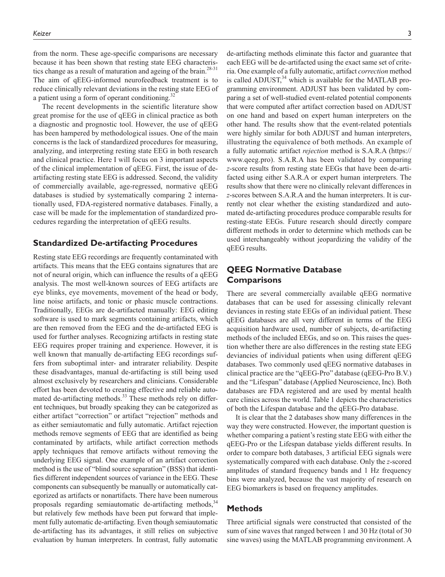from the norm. These age-specific comparisons are necessary because it has been shown that resting state EEG characteristics change as a result of maturation and ageing of the brain.<sup>28-31</sup> The aim of qEEG-informed neurofeedback treatment is to reduce clinically relevant deviations in the resting state EEG of a patient using a form of operant conditioning.<sup>32</sup>

The recent developments in the scientific literature show great promise for the use of qEEG in clinical practice as both a diagnostic and prognostic tool. However, the use of qEEG has been hampered by methodological issues. One of the main concerns is the lack of standardized procedures for measuring, analyzing, and interpreting resting state EEG in both research and clinical practice. Here I will focus on 3 important aspects of the clinical implementation of qEEG. First, the issue of deartifacting resting state EEG is addressed. Second, the validity of commercially available, age-regressed, normative qEEG databases is studied by systematically comparing 2 internationally used, FDA-registered normative databases. Finally, a case will be made for the implementation of standardized procedures regarding the interpretation of qEEG results.

### **Standardized De-artifacting Procedures**

Resting state EEG recordings are frequently contaminated with artifacts. This means that the EEG contains signatures that are not of neural origin, which can influence the results of a qEEG analysis. The most well-known sources of EEG artifacts are eye blinks, eye movements, movement of the head or body, line noise artifacts, and tonic or phasic muscle contractions. Traditionally, EEGs are de-artifacted manually: EEG editing software is used to mark segments containing artifacts, which are then removed from the EEG and the de-artifacted EEG is used for further analyses. Recognizing artifacts in resting state EEG requires proper training and experience. However, it is well known that manually de-artifacting EEG recordings suffers from suboptimal inter- and intrarater reliability. Despite these disadvantages, manual de-artifacting is still being used almost exclusively by researchers and clinicians. Considerable effort has been devoted to creating effective and reliable automated de-artifacting methods.<sup>33</sup> These methods rely on different techniques, but broadly speaking they can be categorized as either artifact "correction" or artifact "rejection" methods and as either semiautomatic and fully automatic. Artifact rejection methods remove segments of EEG that are identified as being contaminated by artifacts, while artifact correction methods apply techniques that remove artifacts without removing the underlying EEG signal. One example of an artifact correction method is the use of "blind source separation" (BSS) that identifies different independent sources of variance in the EEG. These components can subsequently be manually or automatically categorized as artifacts or nonartifacts. There have been numerous proposals regarding semiautomatic de-artifacting methods,  $34$ but relatively few methods have been put forward that implement fully automatic de-artifacting. Even though semiautomatic de-artifacting has its advantages, it still relies on subjective evaluation by human interpreters. In contrast, fully automatic

de-artifacting methods eliminate this factor and guarantee that each EEG will be de-artifacted using the exact same set of criteria. One example of a fully automatic, artifact *correction* method is called  $ADJUST$ ,<sup>34</sup> which is available for the MATLAB programming environment. ADJUST has been validated by comparing a set of well-studied event-related potential components that were computed after artifact correction based on ADJUST on one hand and based on expert human interpreters on the other hand. The results show that the event-related potentials were highly similar for both ADJUST and human interpreters, illustrating the equivalence of both methods. An example of a fully automatic artifact *rejection* method is S.A.R.A ([https://](https://www.qeeg.pro) [www.qeeg.pro\)](https://www.qeeg.pro). S.A.R.A has been validated by comparing *z*-score results from resting state EEGs that have been de-artifacted using either S.A.R.A or expert human interpreters. The results show that there were no clinically relevant differences in *z*-scores between S.A.R.A and the human interpreters. It is currently not clear whether the existing standardized and automated de-artifacting procedures produce comparable results for resting-state EEGs. Future research should directly compare different methods in order to determine which methods can be used interchangeably without jeopardizing the validity of the qEEG results.

# **QEEG Normative Database Comparisons**

There are several commercially available qEEG normative databases that can be used for assessing clinically relevant deviances in resting state EEGs of an individual patient. These qEEG databases are all very different in terms of the EEG acquisition hardware used, number of subjects, de-artifacting methods of the included EEGs, and so on. This raises the question whether there are also differences in the resting state EEG deviancies of individual patients when using different qEEG databases. Two commonly used qEEG normative databases in clinical practice are the "qEEG-Pro" database (qEEG-Pro B.V.) and the "Lifespan" database (Applied Neuroscience, Inc). Both databases are FDA registered and are used by mental health care clinics across the world. Table 1 depicts the characteristics of both the Lifespan database and the qEEG-Pro database.

It is clear that the 2 databases show many differences in the way they were constructed. However, the important question is whether comparing a patient's resting state EEG with either the qEEG-Pro or the Lifespan database yields different results. In order to compare both databases, 3 artificial EEG signals were systematically compared with each database. Only the *z*-scored amplitudes of standard frequency bands and 1 Hz frequency bins were analyzed, because the vast majority of research on EEG biomarkers is based on frequency amplitudes.

### **Methods**

Three artificial signals were constructed that consisted of the sum of sine waves that ranged between 1 and 30 Hz (total of 30 sine waves) using the MATLAB programming environment. A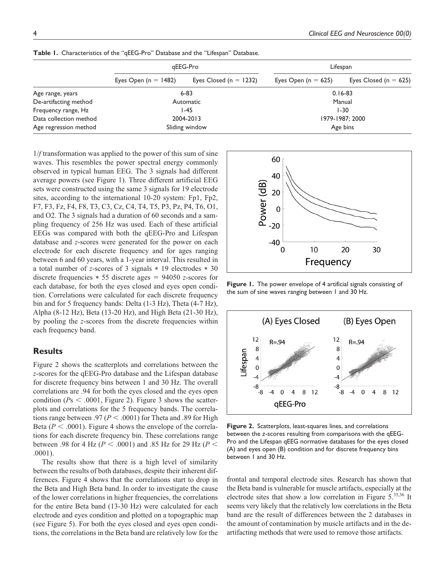|                        | gEEG-Pro                 |                            | Lifespan              |                           |
|------------------------|--------------------------|----------------------------|-----------------------|---------------------------|
|                        | Eyes Open ( $n = 1482$ ) | Eyes Closed ( $n = 1232$ ) | Eyes Open $(n = 625)$ | Eyes Closed ( $n = 625$ ) |
| Age range, years       | $6 - 83$                 |                            | $0.16 - 83$           |                           |
| De-artifacting method  | Automatic                |                            | Manual                |                           |
| Frequency range, Hz    | I-45                     |                            | I-30                  |                           |
| Data collection method | 2004-2013                |                            | 1979-1987; 2000       |                           |
| Age regression method  | Sliding window           |                            | Age bins              |                           |

**Table 1.** Characteristics of the "qEEG-Pro" Database and the "Lifespan" Database.

1/*f* transformation was applied to the power of this sum of sine waves. This resembles the power spectral energy commonly observed in typical human EEG. The 3 signals had different average powers (see Figure 1). Three different artificial EEG sets were constructed using the same 3 signals for 19 electrode sites, according to the international 10-20 system: Fp1, Fp2, F7, F3, Fz, F4, F8, T3, C3, Cz, C4, T4, T5, P3, Pz, P4, T6, O1, and O2. The 3 signals had a duration of 60 seconds and a sampling frequency of 256 Hz was used. Each of these artificial EEGs was compared with both the qEEG-Pro and Lifespan database and *z*-scores were generated for the power on each electrode for each discrete frequency and for ages ranging between 6 and 60 years, with a 1-year interval. This resulted in a total number of *z*-scores of 3 signals ∗ 19 electrodes ∗ 30 discrete frequencies ∗ 55 discrete ages = 94050 *z*-scores for each database, for both the eyes closed and eyes open condition. Correlations were calculated for each discrete frequency bin and for 5 frequency bands: Delta (1-3 Hz), Theta (4-7 Hz), Alpha (8-12 Hz), Beta (13-20 Hz), and High Beta (21-30 Hz), by pooling the *z*-scores from the discrete frequencies within each frequency band.

### **Results**

Figure 2 shows the scatterplots and correlations between the *z*-scores for the qEEG-Pro database and the Lifespan database for discrete frequency bins between 1 and 30 Hz. The overall correlations are .94 for both the eyes closed and the eyes open condition ( $Ps < .0001$ , Figure 2). Figure 3 shows the scatterplots and correlations for the 5 frequency bands. The correlations range between .97 ( $P < .0001$ ) for Theta and .89 for High Beta ( $P < .0001$ ). Figure 4 shows the envelope of the correlations for each discrete frequency bin. These correlations range between .98 for 4 Hz (*P* < .0001) and .85 Hz for 29 Hz (*P* < .0001).

The results show that there is a high level of similarity between the results of both databases, despite their inherent differences. Figure 4 shows that the correlations start to drop in the Beta and High Beta band. In order to investigate the cause of the lower correlations in higher frequencies, the correlations for the entire Beta band (13-30 Hz) were calculated for each electrode and eyes condition and plotted on a topographic map (see Figure 5). For both the eyes closed and eyes open conditions, the correlations in the Beta band are relatively low for the



**Figure 1.** The power envelope of 4 artificial signals consisting of the sum of sine waves ranging between 1 and 30 Hz.



**Figure 2.** Scatterplots, least-squares lines, and correlations between the *z*-scores resulting from comparisons with the qEEG-Pro and the Lifespan qEEG normative databases for the eyes closed (A) and eyes open (B) condition and for discrete frequency bins between 1 and 30 Hz.

frontal and temporal electrode sites. Research has shown that the Beta band is vulnerable for muscle artifacts, especially at the electrode sites that show a low correlation in Figure  $5^{35,36}$  It seems very likely that the relatively low correlations in the Beta band are the result of differences between the 2 databases in the amount of contamination by muscle artifacts and in the deartifacting methods that were used to remove those artifacts.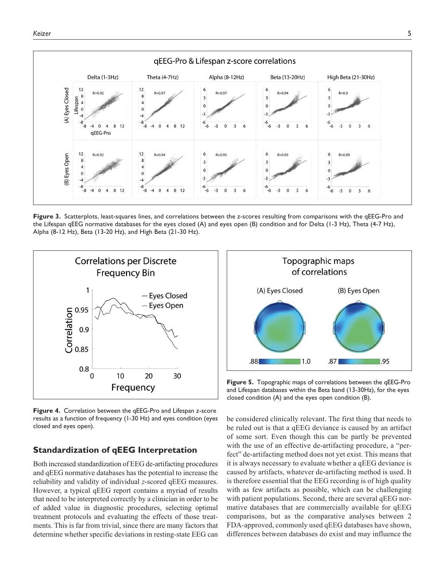

**Figure 3.** Scatterplots, least-squares lines, and correlations between the *z*-scores resulting from comparisons with the qEEG-Pro and the Lifespan qEEG normative databases for the eyes closed (A) and eyes open (B) condition and for Delta (1-3 Hz), Theta (4-7 Hz), Alpha (8-12 Hz), Beta (13-20 Hz), and High Beta (21-30 Hz).



**Figure 4.** Correlation between the qEEG-Pro and Lifespan *z*-score results as a function of frequency (1-30 Hz) and eyes condition (eyes closed and eyes open).

### **Standardization of qEEG Interpretation**

Both increased standardization of EEG de-artifacting procedures and qEEG normative databases has the potential to increase the reliability and validity of individual *z*-scored qEEG measures. However, a typical qEEG report contains a myriad of results that need to be interpreted correctly by a clinician in order to be of added value in diagnostic procedures, selecting optimal treatment protocols and evaluating the effects of those treatments. This is far from trivial, since there are many factors that determine whether specific deviations in resting-state EEG can



**Figure 5.** Topographic maps of correlations between the qEEG-Pro and Lifespan databases within the Beta band (13-30Hz), for the eyes closed condition (A) and the eyes open condition (B).

be considered clinically relevant. The first thing that needs to be ruled out is that a qEEG deviance is caused by an artifact of some sort. Even though this can be partly be prevented with the use of an effective de-artifacting procedure, a "perfect" de-artifacting method does not yet exist. This means that it is always necessary to evaluate whether a qEEG deviance is caused by artifacts, whatever de-artifacting method is used. It is therefore essential that the EEG recording is of high quality with as few artifacts as possible, which can be challenging with patient populations. Second, there are several qEEG normative databases that are commercially available for qEEG comparisons, but as the comparative analyses between 2 FDA-approved, commonly used qEEG databases have shown, differences between databases do exist and may influence the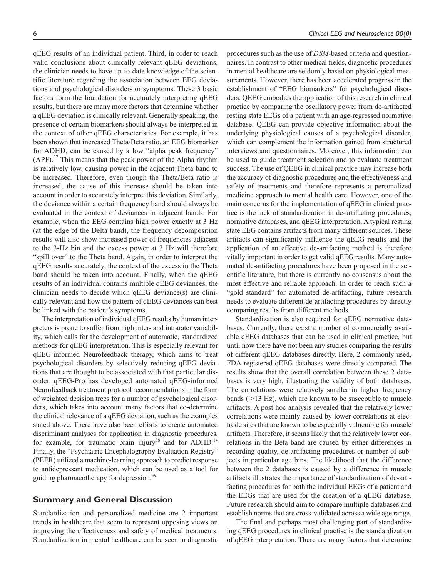qEEG results of an individual patient. Third, in order to reach valid conclusions about clinically relevant qEEG deviations, the clinician needs to have up-to-date knowledge of the scientific literature regarding the association between EEG deviations and psychological disorders or symptoms. These 3 basic factors form the foundation for accurately interpreting qEEG results, but there are many more factors that determine whether a qEEG deviation is clinically relevant. Generally speaking, the presence of certain biomarkers should always be interpreted in the context of other qEEG characteristics. For example, it has been shown that increased Theta/Beta ratio, an EEG biomarker for ADHD, can be caused by a low "alpha peak frequency"  $(APF).<sup>37</sup>$  This means that the peak power of the Alpha rhythm is relatively low, causing power in the adjacent Theta band to be increased. Therefore, even though the Theta/Beta ratio is increased, the cause of this increase should be taken into account in order to accurately interpret this deviation. Similarly, the deviance within a certain frequency band should always be evaluated in the context of deviances in adjacent bands. For example, when the EEG contains high power exactly at 3 Hz (at the edge of the Delta band), the frequency decomposition results will also show increased power of frequencies adjacent to the 3-Hz bin and the excess power at 3 Hz will therefore "spill over" to the Theta band. Again, in order to interpret the qEEG results accurately, the context of the excess in the Theta band should be taken into account. Finally, when the qEEG results of an individual contains multiple qEEG deviances, the clinician needs to decide which qEEG deviance(s) are clinically relevant and how the pattern of qEEG deviances can best be linked with the patient's symptoms.

The interpretation of individual qEEG results by human interpreters is prone to suffer from high inter- and intrarater variability, which calls for the development of automatic, standardized methods for qEEG interpretation. This is especially relevant for qEEG-informed Neurofeedback therapy, which aims to treat psychological disorders by selectively reducing qEEG deviations that are thought to be associated with that particular disorder. qEEG-Pro has developed automated qEEG-informed Neurofeedback treatment protocol recommendations in the form of weighted decision trees for a number of psychological disorders, which takes into account many factors that co-determine the clinical relevance of a qEEG deviation, such as the examples stated above. There have also been efforts to create automated discriminant analyses for application in diagnostic procedures, for example, for traumatic brain injury<sup>38</sup> and for ADHD.<sup>14</sup> Finally, the "Psychiatric Encephalography Evaluation Registry" (PEER) utilized a machine-learning approach to predict response to antidepressant medication, which can be used as a tool for guiding pharmacotherapy for depression.39

### **Summary and General Discussion**

Standardization and personalized medicine are 2 important trends in healthcare that seem to represent opposing views on improving the effectiveness and safety of medical treatments. Standardization in mental healthcare can be seen in diagnostic procedures such as the use of *DSM*-based criteria and questionnaires. In contrast to other medical fields, diagnostic procedures in mental healthcare are seldomly based on physiological measurements. However, there has been accelerated progress in the establishment of "EEG biomarkers" for psychological disorders. QEEG embodies the application of this research in clinical practice by comparing the oscillatory power from de-artifacted resting state EEGs of a patient with an age-regressed normative database. QEEG can provide objective information about the underlying physiological causes of a psychological disorder, which can complement the information gained from structured interviews and questionnaires. Moreover, this information can be used to guide treatment selection and to evaluate treatment success. The use of QEEG in clinical practice may increase both the accuracy of diagnostic procedures and the effectiveness and safety of treatments and therefore represents a personalized medicine approach to mental health care. However, one of the main concerns for the implementation of qEEG in clinical practice is the lack of standardization in de-artifacting procedures, normative databases, and qEEG interpretation. A typical resting state EEG contains artifacts from many different sources. These artifacts can significantly influence the qEEG results and the application of an effective de-artifacting method is therefore vitally important in order to get valid qEEG results. Many automated de-artifacting procedures have been proposed in the scientific literature, but there is currently no consensus about the most effective and reliable approach. In order to reach such a "gold standard" for automated de-artifacting, future research needs to evaluate different de-artifacting procedures by directly comparing results from different methods.

Standardization is also required for qEEG normative databases. Currently, there exist a number of commercially available qEEG databases that can be used in clinical practice, but until now there have not been any studies comparing the results of different qEEG databases directly. Here, 2 commonly used, FDA-registered qEEG databases were directly compared. The results show that the overall correlation between these 2 databases is very high, illustrating the validity of both databases. The correlations were relatively smaller in higher frequency bands  $(>13$  Hz), which are known to be susceptible to muscle artifacts. A post hoc analysis revealed that the relatively lower correlations were mainly caused by lower correlations at electrode sites that are known to be especially vulnerable for muscle artifacts. Therefore, it seems likely that the relatively lower correlations in the Beta band are caused by either differences in recording quality, de-artifacting procedures or number of subjects in particular age bins. The likelihood that the difference between the 2 databases is caused by a difference in muscle artifacts illustrates the importance of standardization of de-artifacting procedures for both the individual EEGs of a patient and the EEGs that are used for the creation of a qEEG database. Future research should aim to compare multiple databases and establish norms that are cross-validated across a wide age range.

The final and perhaps most challenging part of standardizing qEEG procedures in clinical practise is the standardization of qEEG interpretation. There are many factors that determine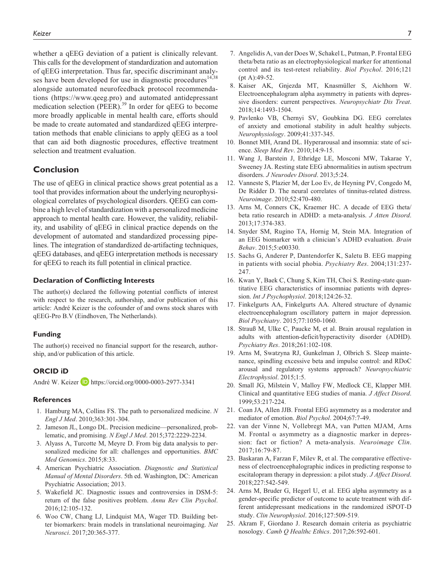whether a qEEG deviation of a patient is clinically relevant. This calls for the development of standardization and automation of qEEG interpretation. Thus far, specific discriminant analyses have been developed for use in diagnostic procedures $14,38$ alongside automated neurofeedback protocol recommendations (<https://www.qeeg.pro>) and automated antidepressant medication selection (PEER).<sup>39</sup> In order for qEEG to become more broadly applicable in mental health care, efforts should be made to create automated and standardized qEEG interpretation methods that enable clinicians to apply qEEG as a tool that can aid both diagnostic procedures, effective treatment selection and treatment evaluation.

# **Conclusion**

The use of qEEG in clinical practice shows great potential as a tool that provides information about the underlying neurophysiological correlates of psychological disorders. QEEG can combine a high level of standardization with a personalized medicine approach to mental health care. However, the validity, reliability, and usability of qEEG in clinical practice depends on the development of automated and standardized processing pipelines. The integration of standardized de-artifacting techniques, qEEG databases, and qEEG interpretation methods is necessary for qEEG to reach its full potential in clinical practice.

### **Declaration of Conflicting Interests**

The author(s) declared the following potential conflicts of interest with respect to the research, authorship, and/or publication of this article: André Keizer is the cofounder of and owns stock shares with qEEG-Pro B.V (Eindhoven, The Netherlands).

#### **Funding**

The author(s) received no financial support for the research, authorship, and/or publication of this article.

### **ORCID iD**

André W. Keizer **b** <https://orcid.org/0000-0003-2977-3341>

#### **References**

- 1. Hamburg MA, Collins FS. The path to personalized medicine. *N Engl J Med*. 2010;363:301-304.
- 2. Jameson JL, Longo DL. Precision medicine—personalized, problematic, and promising. *N Engl J Med*. 2015;372:2229-2234.
- 3. Alyass A, Turcotte M, Meyre D. From big data analysis to personalized medicine for all: challenges and opportunities. *BMC Med Genomics*. 2015;8:33.
- 4. American Psychiatric Association. *Diagnostic and Statistical Manual of Mental Disorders*. 5th ed. Washington, DC: American Psychiatric Association; 2013.
- 5. Wakefield JC. Diagnostic issues and controversies in DSM-5: return of the false positives problem. *Annu Rev Clin Psychol*. 2016;12:105-132.
- 6. Woo CW, Chang LJ, Lindquist MA, Wager TD. Building better biomarkers: brain models in translational neuroimaging. *Nat Neurosci*. 2017;20:365-377.
- 7. Angelidis A, van der Does W, Schakel L, Putman, P. Frontal EEG theta/beta ratio as an electrophysiological marker for attentional control and its test-retest reliability. *Biol Psychol*. 2016;121 (pt A):49-52.
- 8. Kaiser AK, Gnjezda MT, Knasmüller S, Aichhorn W. Electroencephalogram alpha asymmetry in patients with depressive disorders: current perspectives. *Neuropsychiatr Dis Treat*. 2018;14:1493-1504.
- 9. Pavlenko VB, Chernyi SV, Goubkina DG. EEG correlates of anxiety and emotional stability in adult healthy subjects. *Neurophysiology*. 2009;41:337-345.
- 10. Bonnet MH, Arand DL. Hyperarousal and insomnia: state of science. *Sleep Med Rev*. 2010;14:9-15.
- 11. Wang J, Barstein J, Ethridge LE, Mosconi MW, Takarae Y, Sweeney JA. Resting state EEG abnormalities in autism spectrum disorders. *J Neurodev Disord*. 2013;5:24.
- 12. Vanneste S, Plazier M, der Loo Ev, de Heyning PV, Congedo M, De Ridder D. The neural correlates of tinnitus-related distress. *Neuroimage*. 2010;52:470-480.
- 13. Arns M, Conners CK, Kraemer HC. A decade of EEG theta/ beta ratio research in ADHD: a meta-analysis. *J Atten Disord*. 2013;17:374-383.
- 14. Snyder SM, Rugino TA, Hornig M, Stein MA. Integration of an EEG biomarker with a clinician's ADHD evaluation. *Brain Behav*. 2015;5:e00330.
- 15. Sachs G, Anderer P, Dantendorfer K, Saletu B. EEG mapping in patients with social phobia. *Psychiatry Res*. 2004;131:237- 247.
- 16. Kwan Y, Baek C, Chung S, Kim TH, Choi S. Resting-state quantitative EEG characteristics of insomniac patients with depression. *Int J Psychophysiol*. 2018;124:26-32.
- 17. Finkelgurts AA, Finkelgurts AA. Altered structure of dynamic electroencephalogram oscillatory pattern in major depression. *Biol Psychiatry*. 2015;77:1050-1060.
- 18. Strauß M, Ulke C, Paucke M, et al. Brain arousal regulation in adults with attention-deficit/hyperactivity disorder (ADHD). *Psychiatry Res*. 2018;261:102-108.
- 19. Arns M, Swatzyna RJ, Gunkelman J, Olbrich S. Sleep maintenance, spindling excessive beta and impulse control: and RDoC arousal and regulatory systems approach? *Neuropsychiatric Electrophysiol*. 2015;1:5.
- 20. Small JG, Milstein V, Malloy FW, Medlock CE, Klapper MH. Clinical and quantitative EEG studies of mania. *J Affect Disord*. 1999;53:217-224.
- 21. Coan JA, Allen JJB. Frontal EEG asymmetry as a moderator and mediator of emotion. *Biol Psychol*. 2004;67:7-49.
- 22. van der Vinne N, Vollebregt MA, van Putten MJAM, Arns M. Frontal  $\alpha$  asymmetry as a diagnostic marker in depression: fact or fiction? A meta-analysis. *Neuroimage Clin*. 2017;16:79-87.
- 23. Baskaran A, Farzan F, Milev R, et al. The comparative effectiveness of electroencephalographic indices in predicting response to escitalopram therapy in depression: a pilot study. *J Affect Disord*. 2018;227:542-549.
- 24. Arns M, Bruder G, Hegerl U, et al. EEG alpha asymmetry as a gender-specific predictor of outcome to acute treatment with different antidepressant medications in the randomized iSPOT-D study. *Clin Neurophysiol*. 2016;127:509-519.
- 25. Akram F, Giordano J. Research domain criteria as psychiatric nosology. *Camb Q Healthc Ethics*. 2017;26:592-601.